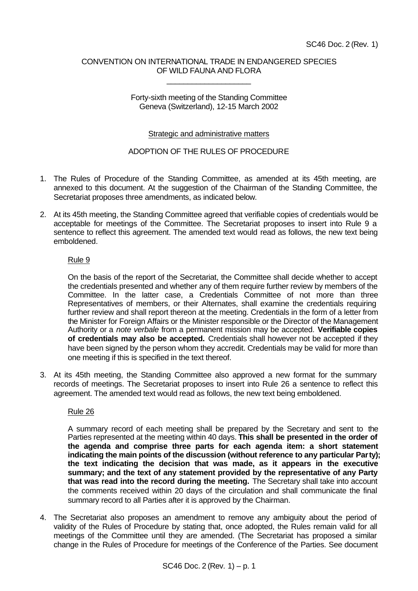### CONVENTION ON INTERNATIONAL TRADE IN ENDANGERED SPECIES OF WILD FAUNA AND FLORA

\_\_\_\_\_\_\_\_\_\_\_\_\_\_\_\_\_\_\_\_

### Forty-sixth meeting of the Standing Committee Geneva (Switzerland), 12-15 March 2002

### Strategic and administrative matters

### ADOPTION OF THE RULES OF PROCEDURE

- 1. The Rules of Procedure of the Standing Committee, as amended at its 45th meeting, are annexed to this document. At the suggestion of the Chairman of the Standing Committee, the Secretariat proposes three amendments, as indicated below.
- 2. At its 45th meeting, the Standing Committee agreed that verifiable copies of credentials would be acceptable for meetings of the Committee. The Secretariat proposes to insert into Rule 9 a sentence to reflect this agreement. The amended text would read as follows, the new text being emboldened.

### Rule 9

On the basis of the report of the Secretariat, the Committee shall decide whether to accept the credentials presented and whether any of them require further review by members of the Committee. In the latter case, a Credentials Committee of not more than three Representatives of members, or their Alternates, shall examine the credentials requiring further review and shall report thereon at the meeting. Credentials in the form of a letter from the Minister for Foreign Affairs or the Minister responsible or the Director of the Management Authority or a *note verbale* from a permanent mission may be accepted. **Verifiable copies of credentials may also be accepted.** Credentials shall however not be accepted if they have been signed by the person whom they accredit. Credentials may be valid for more than one meeting if this is specified in the text thereof.

3. At its 45th meeting, the Standing Committee also approved a new format for the summary records of meetings. The Secretariat proposes to insert into Rule 26 a sentence to reflect this agreement. The amended text would read as follows, the new text being emboldened.

# Rule 26

A summary record of each meeting shall be prepared by the Secretary and sent to the Parties represented at the meeting within 40 days. **This shall be presented in the order of the agenda and comprise three parts for each agenda item: a short statement indicating the main points of the discussion (without reference to any particular Party); the text indicating the decision that was made, as it appears in the executive summary; and the text of any statement provided by the representative of any Party that was read into the record during the meeting.** The Secretary shall take into account the comments received within 20 days of the circulation and shall communicate the final summary record to all Parties after it is approved by the Chairman.

4. The Secretariat also proposes an amendment to remove any ambiguity about the period of validity of the Rules of Procedure by stating that, once adopted, the Rules remain valid for all meetings of the Committee until they are amended. (The Secretariat has proposed a similar change in the Rules of Procedure for meetings of the Conference of the Parties. See document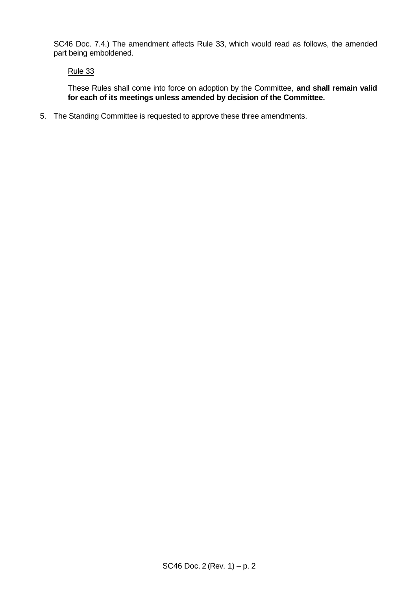SC46 Doc. 7.4.) The amendment affects Rule 33, which would read as follows, the amended part being emboldened.

# Rule 33

These Rules shall come into force on adoption by the Committee, **and shall remain valid for each of its meetings unless amended by decision of the Committee.**

5. The Standing Committee is requested to approve these three amendments.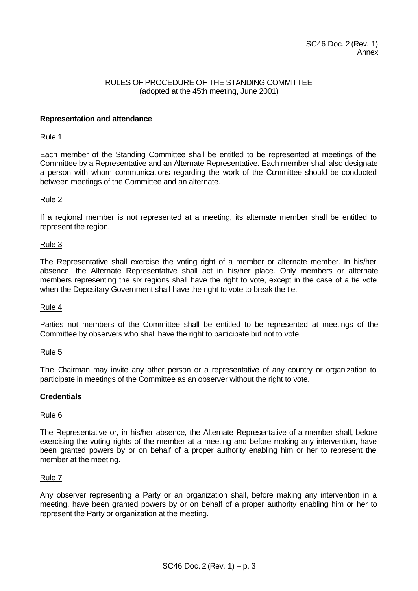### RULES OF PROCEDURE OF THE STANDING COMMITTEE (adopted at the 45th meeting, June 2001)

### **Representation and attendance**

### Rule 1

Each member of the Standing Committee shall be entitled to be represented at meetings of the Committee by a Representative and an Alternate Representative. Each member shall also designate a person with whom communications regarding the work of the Committee should be conducted between meetings of the Committee and an alternate.

# Rule 2

If a regional member is not represented at a meeting, its alternate member shall be entitled to represent the region.

### Rule 3

The Representative shall exercise the voting right of a member or alternate member. In his/her absence, the Alternate Representative shall act in his/her place. Only members or alternate members representing the six regions shall have the right to vote, except in the case of a tie vote when the Depositary Government shall have the right to vote to break the tie.

# Rule 4

Parties not members of the Committee shall be entitled to be represented at meetings of the Committee by observers who shall have the right to participate but not to vote.

#### Rule 5

The Chairman may invite any other person or a representative of any country or organization to participate in meetings of the Committee as an observer without the right to vote.

# **Credentials**

# Rule 6

The Representative or, in his/her absence, the Alternate Representative of a member shall, before exercising the voting rights of the member at a meeting and before making any intervention, have been granted powers by or on behalf of a proper authority enabling him or her to represent the member at the meeting.

#### Rule 7

Any observer representing a Party or an organization shall, before making any intervention in a meeting, have been granted powers by or on behalf of a proper authority enabling him or her to represent the Party or organization at the meeting.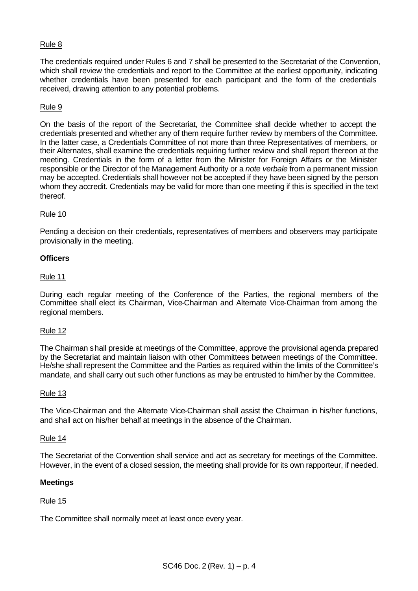# Rule 8

The credentials required under Rules 6 and 7 shall be presented to the Secretariat of the Convention, which shall review the credentials and report to the Committee at the earliest opportunity, indicating whether credentials have been presented for each participant and the form of the credentials received, drawing attention to any potential problems.

# Rule 9

On the basis of the report of the Secretariat, the Committee shall decide whether to accept the credentials presented and whether any of them require further review by members of the Committee. In the latter case, a Credentials Committee of not more than three Representatives of members, or their Alternates, shall examine the credentials requiring further review and shall report thereon at the meeting. Credentials in the form of a letter from the Minister for Foreign Affairs or the Minister responsible or the Director of the Management Authority or a *note verbale* from a permanent mission may be accepted. Credentials shall however not be accepted if they have been signed by the person whom they accredit. Credentials may be valid for more than one meeting if this is specified in the text thereof.

# Rule 10

Pending a decision on their credentials, representatives of members and observers may participate provisionally in the meeting.

# **Officers**

### Rule 11

During each regular meeting of the Conference of the Parties, the regional members of the Committee shall elect its Chairman, Vice-Chairman and Alternate Vice-Chairman from among the regional members.

#### Rule 12

The Chairman shall preside at meetings of the Committee, approve the provisional agenda prepared by the Secretariat and maintain liaison with other Committees between meetings of the Committee. He/she shall represent the Committee and the Parties as required within the limits of the Committee's mandate, and shall carry out such other functions as may be entrusted to him/her by the Committee.

#### Rule 13

The Vice-Chairman and the Alternate Vice-Chairman shall assist the Chairman in his/her functions, and shall act on his/her behalf at meetings in the absence of the Chairman.

#### Rule 14

The Secretariat of the Convention shall service and act as secretary for meetings of the Committee. However, in the event of a closed session, the meeting shall provide for its own rapporteur, if needed.

# **Meetings**

# Rule 15

The Committee shall normally meet at least once every year.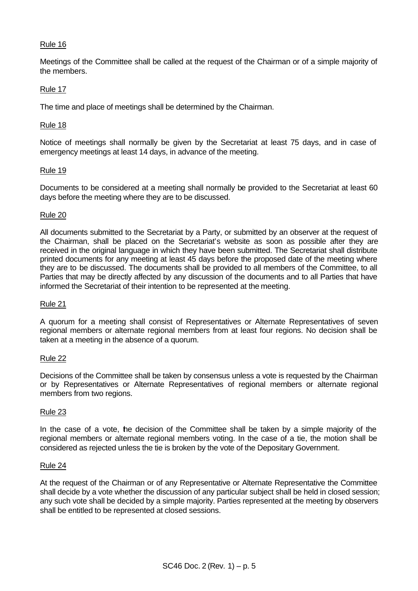# Rule 16

Meetings of the Committee shall be called at the request of the Chairman or of a simple majority of the members.

# Rule 17

The time and place of meetings shall be determined by the Chairman.

# Rule 18

Notice of meetings shall normally be given by the Secretariat at least 75 days, and in case of emergency meetings at least 14 days, in advance of the meeting.

### Rule 19

Documents to be considered at a meeting shall normally be provided to the Secretariat at least 60 days before the meeting where they are to be discussed.

# Rule 20

All documents submitted to the Secretariat by a Party, or submitted by an observer at the request of the Chairman, shall be placed on the Secretariat's website as soon as possible after they are received in the original language in which they have been submitted. The Secretariat shall distribute printed documents for any meeting at least 45 days before the proposed date of the meeting where they are to be discussed. The documents shall be provided to all members of the Committee, to all Parties that may be directly affected by any discussion of the documents and to all Parties that have informed the Secretariat of their intention to be represented at the meeting.

# Rule 21

A quorum for a meeting shall consist of Representatives or Alternate Representatives of seven regional members or alternate regional members from at least four regions. No decision shall be taken at a meeting in the absence of a quorum.

# Rule 22

Decisions of the Committee shall be taken by consensus unless a vote is requested by the Chairman or by Representatives or Alternate Representatives of regional members or alternate regional members from two regions.

# Rule 23

In the case of a vote, he decision of the Committee shall be taken by a simple majority of the regional members or alternate regional members voting. In the case of a tie, the motion shall be considered as rejected unless the tie is broken by the vote of the Depositary Government.

#### Rule 24

At the request of the Chairman or of any Representative or Alternate Representative the Committee shall decide by a vote whether the discussion of any particular subject shall be held in closed session; any such vote shall be decided by a simple majority. Parties represented at the meeting by observers shall be entitled to be represented at closed sessions.